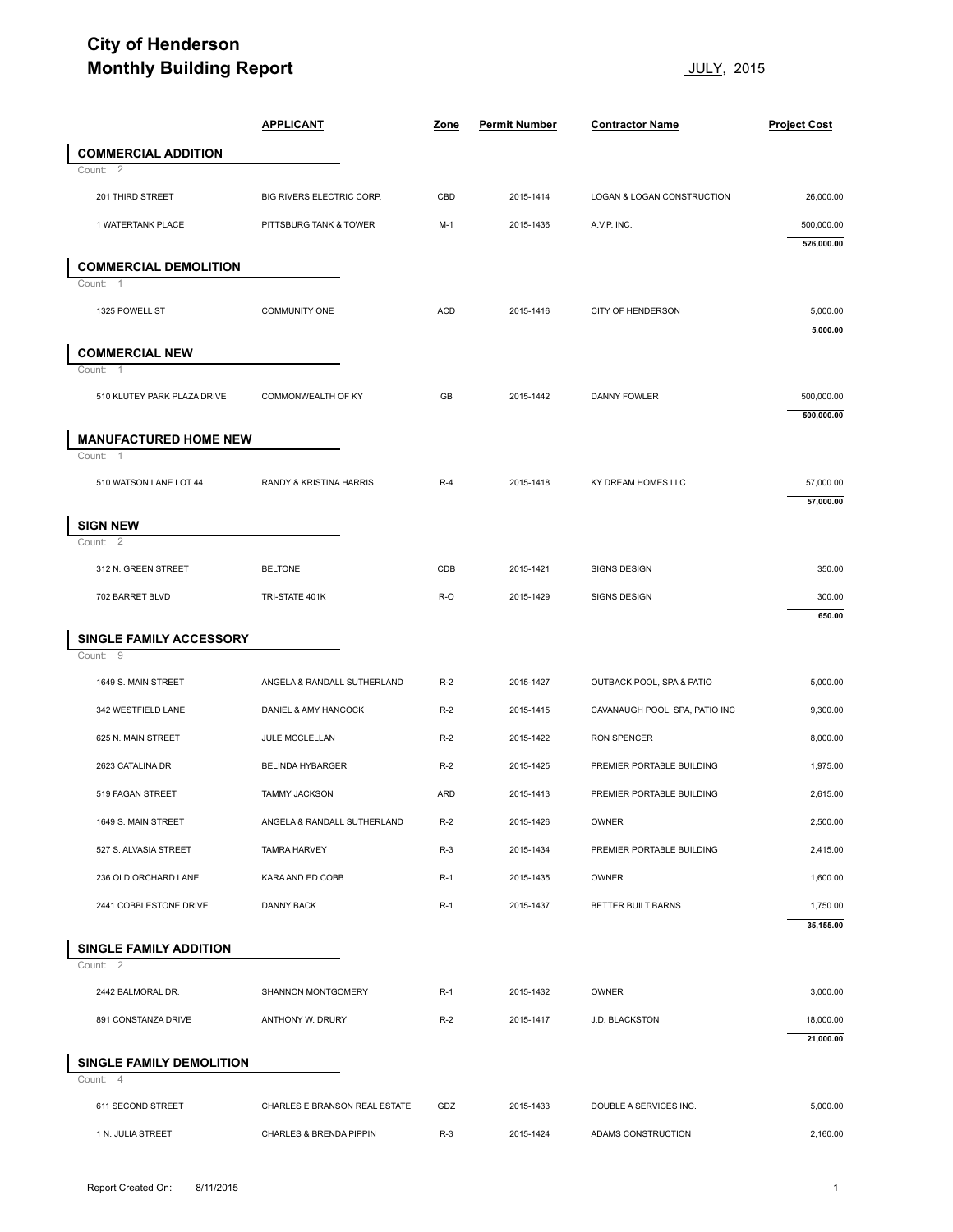## **City of Henderson Monthly Building Report Contract Contract Contract Contract Contract Contract Contract Contract Contract Contract Contract Contract Contract Contract Contract Contract Contract Contract Contract Contract Contract Contra**

| <b>Monthly Building Report</b>               |                               |            | <u>JULY</u> , 2015   |                                |                          |  |
|----------------------------------------------|-------------------------------|------------|----------------------|--------------------------------|--------------------------|--|
|                                              | <b>APPLICANT</b>              | Zone       | <b>Permit Number</b> | <b>Contractor Name</b>         | <b>Project Cost</b>      |  |
| <b>COMMERCIAL ADDITION</b>                   |                               |            |                      |                                |                          |  |
| $\overline{2}$<br>Count:                     |                               |            |                      |                                |                          |  |
| 201 THIRD STREET                             | BIG RIVERS ELECTRIC CORP.     | CBD        | 2015-1414            | LOGAN & LOGAN CONSTRUCTION     | 26,000.00                |  |
| 1 WATERTANK PLACE                            | PITTSBURG TANK & TOWER        | $M-1$      | 2015-1436            | A.V.P. INC.                    | 500,000.00<br>526,000.00 |  |
| <b>COMMERCIAL DEMOLITION</b><br>Count:<br>-1 |                               |            |                      |                                |                          |  |
| 1325 POWELL ST                               | <b>COMMUNITY ONE</b>          | <b>ACD</b> | 2015-1416            | <b>CITY OF HENDERSON</b>       | 5,000.00<br>5,000.00     |  |
| <b>COMMERCIAL NEW</b>                        |                               |            |                      |                                |                          |  |
| Count:<br>510 KLUTEY PARK PLAZA DRIVE        | COMMONWEALTH OF KY            | GB         | 2015-1442            | DANNY FOWLER                   | 500,000.00<br>500.000.00 |  |
| <b>MANUFACTURED HOME NEW</b>                 |                               |            |                      |                                |                          |  |
| Count: 1                                     |                               |            |                      |                                |                          |  |
| 510 WATSON LANE LOT 44                       | RANDY & KRISTINA HARRIS       | $R-4$      | 2015-1418            | KY DREAM HOMES LLC             | 57,000.00<br>57,000.00   |  |
| <b>SIGN NEW</b>                              |                               |            |                      |                                |                          |  |
| Count:<br>2<br>312 N. GREEN STREET           | <b>BELTONE</b>                | CDB        | 2015-1421            | SIGNS DESIGN                   | 350.00                   |  |
| 702 BARRET BLVD                              | TRI-STATE 401K                | R-O        | 2015-1429            | <b>SIGNS DESIGN</b>            | 300.00                   |  |
|                                              |                               |            |                      |                                | 650.00                   |  |
| SINGLE FAMILY ACCESSORY<br>Count: 9          |                               |            |                      |                                |                          |  |
| 1649 S. MAIN STREET                          | ANGELA & RANDALL SUTHERLAND   | $R-2$      | 2015-1427            | OUTBACK POOL, SPA & PATIO      | 5,000.00                 |  |
| 342 WESTFIELD LANE                           | DANIEL & AMY HANCOCK          | $R-2$      | 2015-1415            | CAVANAUGH POOL, SPA, PATIO INC | 9,300.00                 |  |
| 625 N. MAIN STREET                           | JULE MCCLELLAN                | $R-2$      | 2015-1422            | <b>RON SPENCER</b>             | 8,000.00                 |  |
| 2623 CATALINA DR                             | BELINDA HYBARGER              | $R-2$      | 2015-1425            | PREMIER PORTABLE BUILDING      | 1,975.00                 |  |
| 519 FAGAN STREET                             | <b>TAMMY JACKSON</b>          | <b>ARD</b> | 2015-1413            | PREMIER PORTABLE BUILDING      | 2,615.00                 |  |
| 1649 S. MAIN STREET                          | ANGELA & RANDALL SUTHERLAND   | $R-2$      | 2015-1426            | OWNER                          | 2,500.00                 |  |
| 527 S. ALVASIA STREET                        | <b>TAMRA HARVEY</b>           | $R-3$      | 2015-1434            | PREMIER PORTABLE BUILDING      | 2,415.00                 |  |
| 236 OLD ORCHARD LANE                         | KARA AND ED COBB              | $R-1$      | 2015-1435            | <b>OWNER</b>                   | 1,600.00                 |  |
| 2441 COBBLESTONE DRIVE                       | DANNY BACK                    | $R-1$      | 2015-1437            | BETTER BUILT BARNS             | 1,750.00<br>35,155.00    |  |
| <b>SINGLE FAMILY ADDITION</b>                |                               |            |                      |                                |                          |  |
| Count: 2                                     |                               |            |                      |                                |                          |  |
| 2442 BALMORAL DR.                            | SHANNON MONTGOMERY            | $R-1$      | 2015-1432            | OWNER                          | 3,000.00                 |  |
| 891 CONSTANZA DRIVE                          | ANTHONY W. DRURY              | $R-2$      | 2015-1417            | J.D. BLACKSTON                 | 18,000.00<br>21,000.00   |  |
| SINGLE FAMILY DEMOLITION<br>Count: 4         |                               |            |                      |                                |                          |  |
| 611 SECOND STREET                            | CHARLES E BRANSON REAL ESTATE | GDZ        | 2015-1433            | DOUBLE A SERVICES INC.         | 5,000.00                 |  |
|                                              |                               |            |                      |                                |                          |  |
| 1 N. JULIA STREET                            | CHARLES & BRENDA PIPPIN       | $R-3$      | 2015-1424            | ADAMS CONSTRUCTION             | 2,160.00                 |  |
|                                              |                               |            |                      |                                |                          |  |